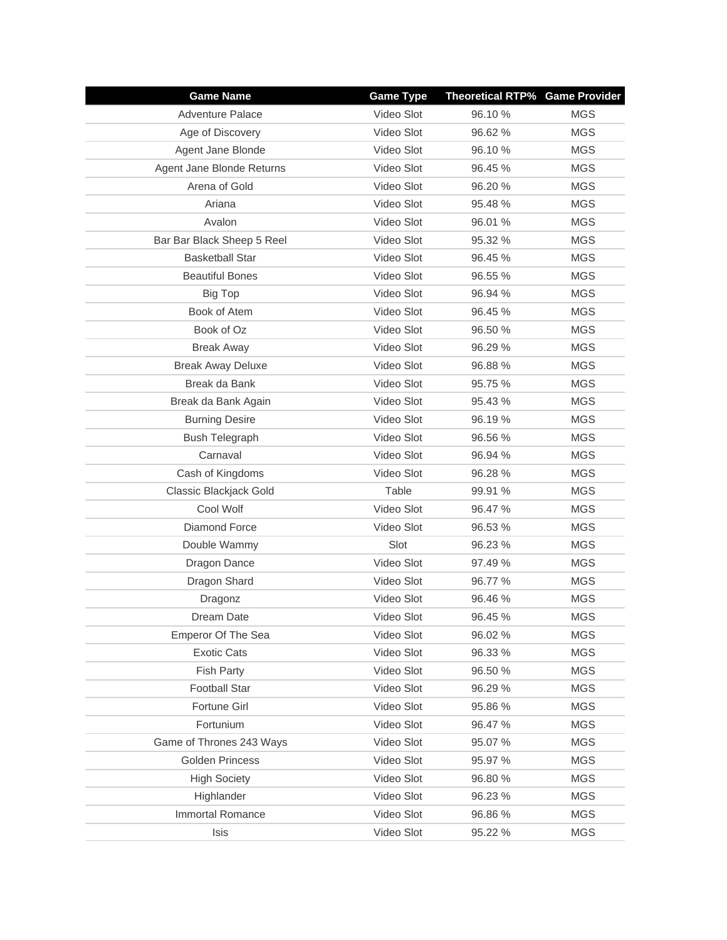| <b>Game Name</b>           | <b>Game Type</b> | <b>Theoretical RTP% Game Provider</b> |            |
|----------------------------|------------------|---------------------------------------|------------|
| <b>Adventure Palace</b>    | Video Slot       | 96.10 %                               | <b>MGS</b> |
| Age of Discovery           | Video Slot       | 96.62%                                | <b>MGS</b> |
| Agent Jane Blonde          | Video Slot       | 96.10 %                               | <b>MGS</b> |
| Agent Jane Blonde Returns  | Video Slot       | 96.45 %                               | <b>MGS</b> |
| Arena of Gold              | Video Slot       | 96.20 %                               | <b>MGS</b> |
| Ariana                     | Video Slot       | 95.48 %                               | <b>MGS</b> |
| Avalon                     | Video Slot       | 96.01 %                               | <b>MGS</b> |
| Bar Bar Black Sheep 5 Reel | Video Slot       | 95.32 %                               | <b>MGS</b> |
| <b>Basketball Star</b>     | Video Slot       | 96.45 %                               | <b>MGS</b> |
| <b>Beautiful Bones</b>     | Video Slot       | 96.55 %                               | <b>MGS</b> |
| Big Top                    | Video Slot       | 96.94 %                               | <b>MGS</b> |
| Book of Atem               | Video Slot       | 96.45 %                               | <b>MGS</b> |
| Book of Oz                 | Video Slot       | 96.50 %                               | <b>MGS</b> |
| <b>Break Away</b>          | Video Slot       | 96.29 %                               | <b>MGS</b> |
| <b>Break Away Deluxe</b>   | Video Slot       | 96.88 %                               | <b>MGS</b> |
| Break da Bank              | Video Slot       | 95.75 %                               | <b>MGS</b> |
| Break da Bank Again        | Video Slot       | 95.43 %                               | <b>MGS</b> |
| <b>Burning Desire</b>      | Video Slot       | 96.19%                                | <b>MGS</b> |
| <b>Bush Telegraph</b>      | Video Slot       | 96.56 %                               | <b>MGS</b> |
| Carnaval                   | Video Slot       | 96.94 %                               | <b>MGS</b> |
| Cash of Kingdoms           | Video Slot       | 96.28 %                               | <b>MGS</b> |
| Classic Blackjack Gold     | Table            | 99.91 %                               | <b>MGS</b> |
| Cool Wolf                  | Video Slot       | 96.47 %                               | <b>MGS</b> |
| Diamond Force              | Video Slot       | 96.53 %                               | <b>MGS</b> |
| Double Wammy               | Slot             | 96.23 %                               | <b>MGS</b> |
| Dragon Dance               | Video Slot       | 97.49 %                               | <b>MGS</b> |
| Dragon Shard               | Video Slot       | 96.77 %                               | <b>MGS</b> |
| Dragonz                    | Video Slot       | 96.46 %                               | <b>MGS</b> |
| Dream Date                 | Video Slot       | 96.45 %                               | <b>MGS</b> |
| Emperor Of The Sea         | Video Slot       | 96.02 %                               | <b>MGS</b> |
| <b>Exotic Cats</b>         | Video Slot       | 96.33 %                               | <b>MGS</b> |
| <b>Fish Party</b>          | Video Slot       | 96.50 %                               | <b>MGS</b> |
| <b>Football Star</b>       | Video Slot       | 96.29 %                               | <b>MGS</b> |
| Fortune Girl               | Video Slot       | 95.86 %                               | <b>MGS</b> |
| Fortunium                  | Video Slot       | 96.47 %                               | <b>MGS</b> |
| Game of Thrones 243 Ways   | Video Slot       | 95.07 %                               | <b>MGS</b> |
| Golden Princess            | Video Slot       | 95.97 %                               | <b>MGS</b> |
| <b>High Society</b>        | Video Slot       | 96.80 %                               | <b>MGS</b> |
| Highlander                 | Video Slot       | 96.23 %                               | <b>MGS</b> |
| Immortal Romance           | Video Slot       | 96.86 %                               | <b>MGS</b> |
| Isis                       | Video Slot       | 95.22 %                               | <b>MGS</b> |